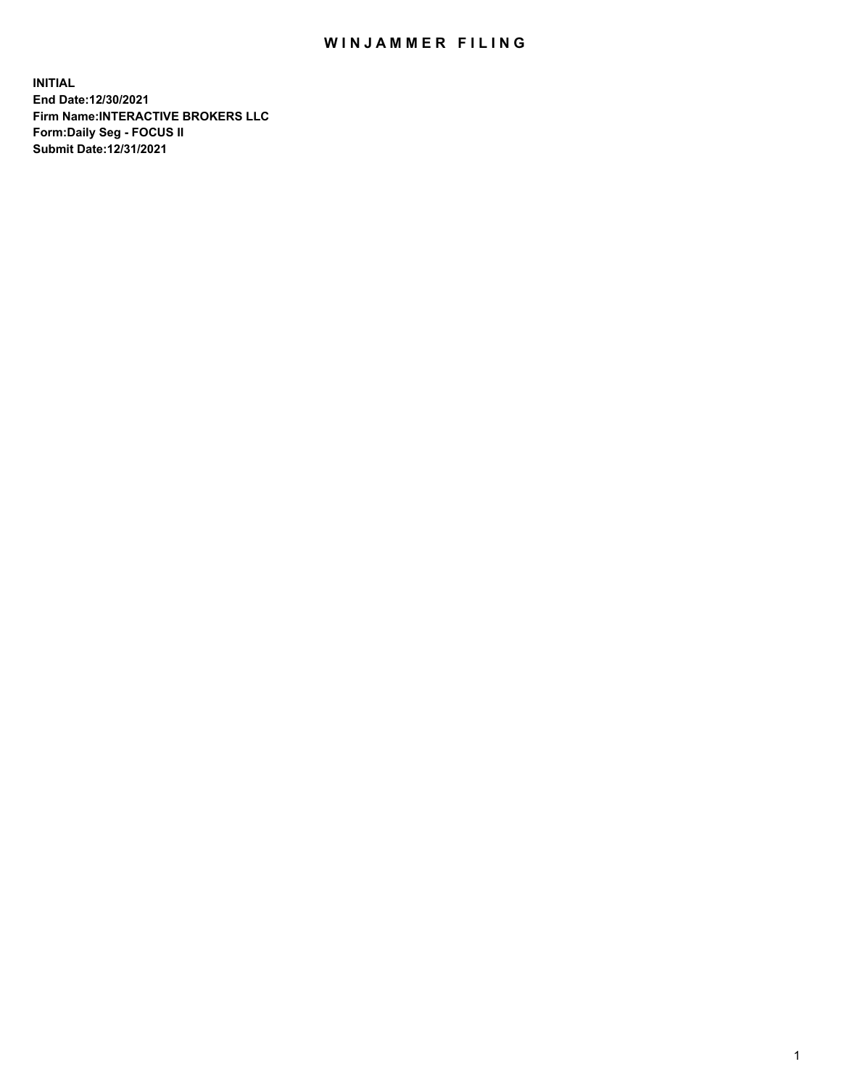## WIN JAMMER FILING

**INITIAL End Date:12/30/2021 Firm Name:INTERACTIVE BROKERS LLC Form:Daily Seg - FOCUS II Submit Date:12/31/2021**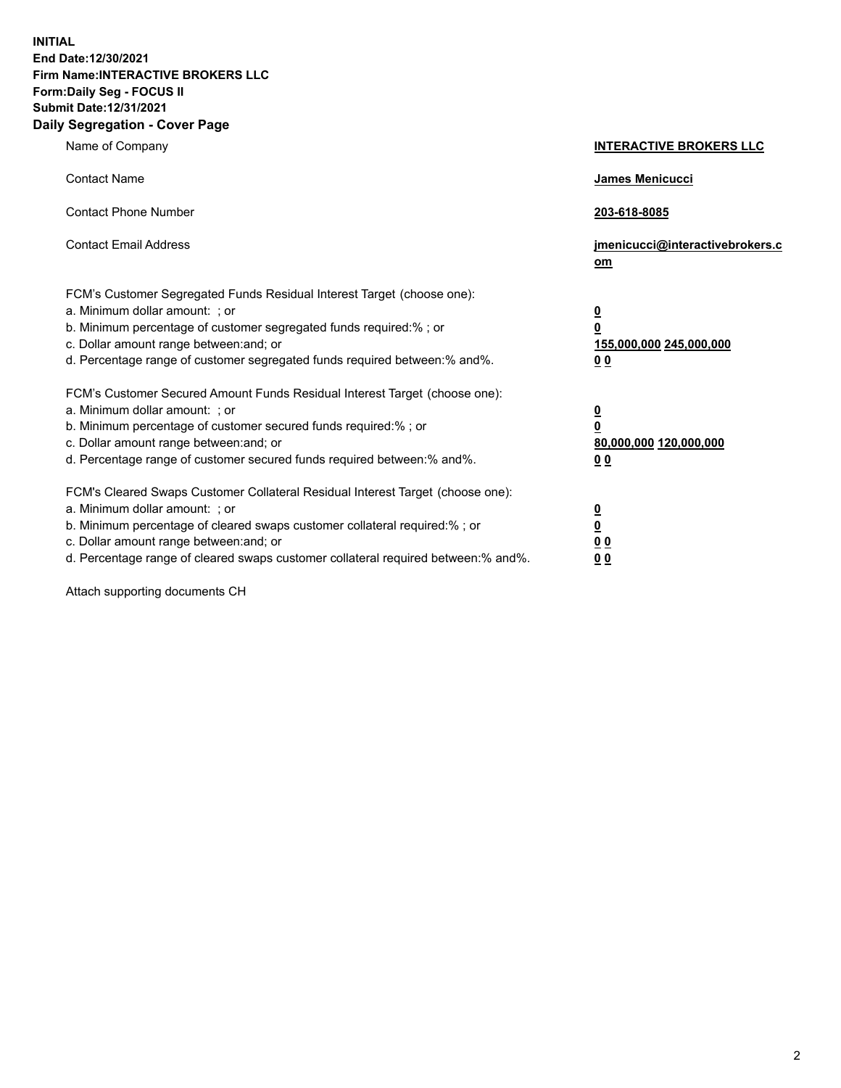**INITIAL End Date:12/30/2021 Firm Name:INTERACTIVE BROKERS LLC Form:Daily Seg - FOCUS II Submit Date:12/31/2021 Daily Segregation - Cover Page**

| Name of Company                                                                                                                                                                                                                                                                                                                | <b>INTERACTIVE BROKERS LLC</b>                                                                           |
|--------------------------------------------------------------------------------------------------------------------------------------------------------------------------------------------------------------------------------------------------------------------------------------------------------------------------------|----------------------------------------------------------------------------------------------------------|
| <b>Contact Name</b>                                                                                                                                                                                                                                                                                                            | James Menicucci                                                                                          |
| <b>Contact Phone Number</b>                                                                                                                                                                                                                                                                                                    | 203-618-8085                                                                                             |
| <b>Contact Email Address</b>                                                                                                                                                                                                                                                                                                   | jmenicucci@interactivebrokers.c<br>om                                                                    |
| FCM's Customer Segregated Funds Residual Interest Target (choose one):<br>a. Minimum dollar amount: ; or<br>b. Minimum percentage of customer segregated funds required:%; or<br>c. Dollar amount range between: and; or<br>d. Percentage range of customer segregated funds required between:% and%.                          | <u>0</u><br>$\overline{\mathbf{0}}$<br>155,000,000 245,000,000<br>0 <sub>0</sub>                         |
| FCM's Customer Secured Amount Funds Residual Interest Target (choose one):<br>a. Minimum dollar amount: ; or<br>b. Minimum percentage of customer secured funds required:%; or<br>c. Dollar amount range between: and; or<br>d. Percentage range of customer secured funds required between:% and%.                            | <u>0</u><br>$\overline{\mathbf{0}}$<br>80,000,000 120,000,000<br><u>00</u>                               |
| FCM's Cleared Swaps Customer Collateral Residual Interest Target (choose one):<br>a. Minimum dollar amount: ; or<br>b. Minimum percentage of cleared swaps customer collateral required:% ; or<br>c. Dollar amount range between: and; or<br>d. Percentage range of cleared swaps customer collateral required between:% and%. | $\overline{\mathbf{0}}$<br>$\underline{\mathbf{0}}$<br>$\underline{0}$ $\underline{0}$<br>0 <sub>0</sub> |

Attach supporting documents CH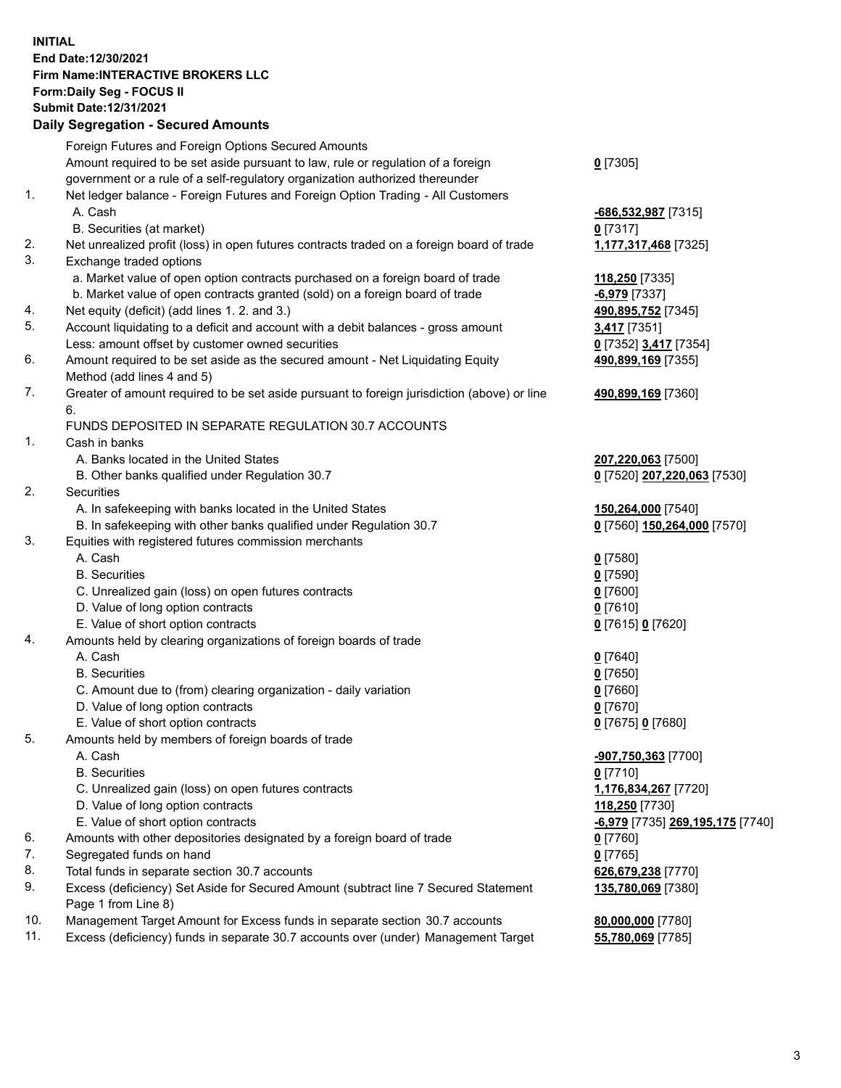## **INITIAL End Date:12/30/2021 Firm Name:INTERACTIVE BROKERS LLC Form:Daily Seg - FOCUS II Submit Date:12/31/2021 Daily Segregation - Secured Amounts**

|     | Daily Segregation - Secured Amounts                                                         |                                  |
|-----|---------------------------------------------------------------------------------------------|----------------------------------|
|     | Foreign Futures and Foreign Options Secured Amounts                                         |                                  |
|     | Amount required to be set aside pursuant to law, rule or regulation of a foreign            | $0$ [7305]                       |
|     | government or a rule of a self-regulatory organization authorized thereunder                |                                  |
| 1.  | Net ledger balance - Foreign Futures and Foreign Option Trading - All Customers             |                                  |
|     | A. Cash                                                                                     | $-686,532,987$ [7315]            |
|     | B. Securities (at market)                                                                   | $0$ [7317]                       |
| 2.  | Net unrealized profit (loss) in open futures contracts traded on a foreign board of trade   | 1,177,317,468 [7325]             |
| 3.  | Exchange traded options                                                                     |                                  |
|     | a. Market value of open option contracts purchased on a foreign board of trade              | 118,250 [7335]                   |
|     | b. Market value of open contracts granted (sold) on a foreign board of trade                | $-6,979$ [7337]                  |
| 4.  | Net equity (deficit) (add lines 1. 2. and 3.)                                               | 490,895,752 [7345]               |
| 5.  | Account liquidating to a deficit and account with a debit balances - gross amount           | 3,417 [7351]                     |
|     | Less: amount offset by customer owned securities                                            | 0 [7352] 3,417 [7354]            |
| 6.  | Amount required to be set aside as the secured amount - Net Liquidating Equity              | 490,899,169 [7355]               |
|     | Method (add lines 4 and 5)                                                                  |                                  |
| 7.  | Greater of amount required to be set aside pursuant to foreign jurisdiction (above) or line | 490,899,169 [7360]               |
|     | 6.                                                                                          |                                  |
|     | FUNDS DEPOSITED IN SEPARATE REGULATION 30.7 ACCOUNTS                                        |                                  |
| 1.  | Cash in banks                                                                               |                                  |
|     | A. Banks located in the United States                                                       | 207,220,063 [7500]               |
|     | B. Other banks qualified under Regulation 30.7                                              | 0 [7520] 207,220,063 [7530]      |
| 2.  | Securities                                                                                  |                                  |
|     | A. In safekeeping with banks located in the United States                                   | 150,264,000 [7540]               |
|     | B. In safekeeping with other banks qualified under Regulation 30.7                          | 0 [7560] 150,264,000 [7570]      |
| 3.  | Equities with registered futures commission merchants                                       |                                  |
|     | A. Cash                                                                                     | $0$ [7580]                       |
|     | <b>B.</b> Securities                                                                        | $0$ [7590]                       |
|     | C. Unrealized gain (loss) on open futures contracts                                         | $0$ [7600]                       |
|     | D. Value of long option contracts                                                           | $0$ [7610]                       |
|     | E. Value of short option contracts                                                          | 0 [7615] 0 [7620]                |
| 4.  | Amounts held by clearing organizations of foreign boards of trade                           |                                  |
|     | A. Cash                                                                                     | $0$ [7640]                       |
|     | <b>B.</b> Securities                                                                        | $0$ [7650]                       |
|     | C. Amount due to (from) clearing organization - daily variation                             | $0$ [7660]                       |
|     | D. Value of long option contracts                                                           | $0$ [7670]                       |
|     | E. Value of short option contracts                                                          | 0 [7675] 0 [7680]                |
| 5.  | Amounts held by members of foreign boards of trade                                          |                                  |
|     | A. Cash                                                                                     | -907,750,363 [7700]              |
|     | <b>B.</b> Securities                                                                        | $0$ [7710]                       |
|     | C. Unrealized gain (loss) on open futures contracts                                         | 1,176,834,267 [7720]             |
|     | D. Value of long option contracts                                                           | 118,250 [7730]                   |
|     | E. Value of short option contracts                                                          | -6,979 [7735] 269,195,175 [7740] |
| 6.  | Amounts with other depositories designated by a foreign board of trade                      | 0 [7760]                         |
| 7.  | Segregated funds on hand                                                                    | $0$ [7765]                       |
| 8.  | Total funds in separate section 30.7 accounts                                               | 626,679,238 [7770]               |
| 9.  | Excess (deficiency) Set Aside for Secured Amount (subtract line 7 Secured Statement         | 135,780,069 [7380]               |
|     | Page 1 from Line 8)                                                                         |                                  |
| 10. | Management Target Amount for Excess funds in separate section 30.7 accounts                 | 80,000,000 [7780]                |
| 11. | Excess (deficiency) funds in separate 30.7 accounts over (under) Management Target          | 55,780,069 [7785]                |
|     |                                                                                             |                                  |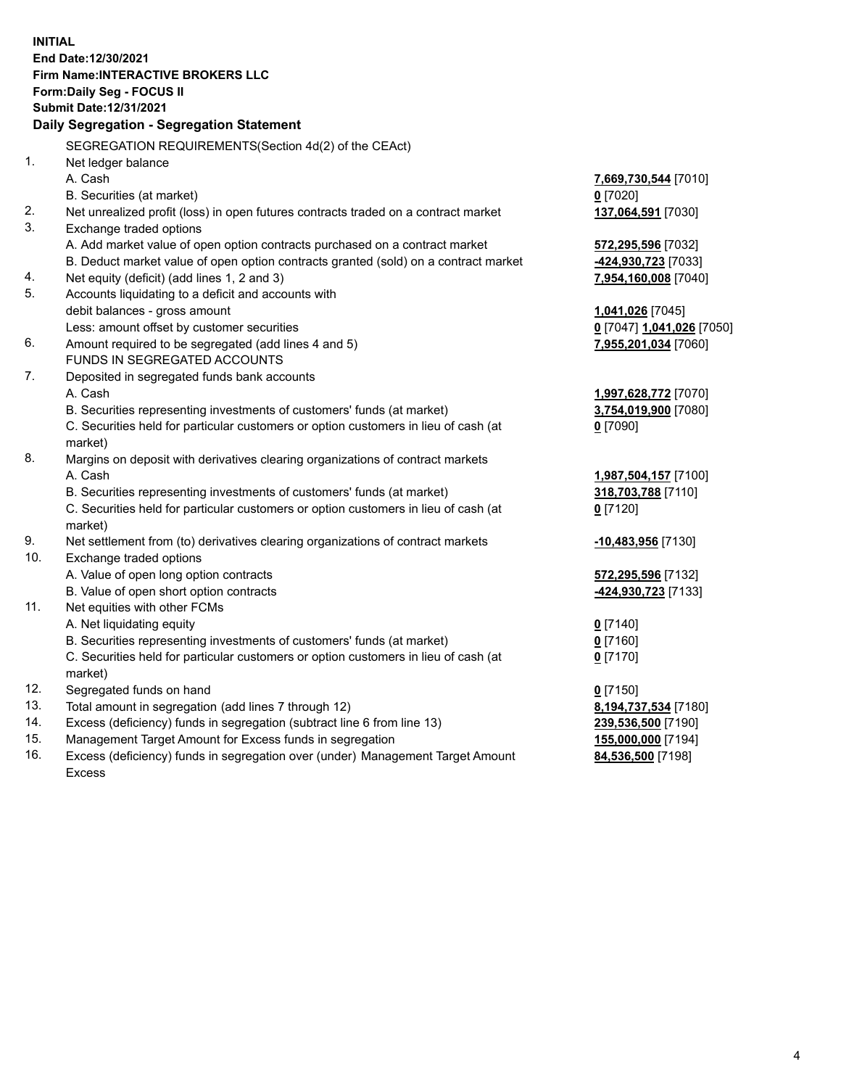**INITIAL End Date:12/30/2021 Firm Name:INTERACTIVE BROKERS LLC Form:Daily Seg - FOCUS II Submit Date:12/31/2021 Daily Segregation - Segregation Statement** SEGREGATION REQUIREMENTS(Section 4d(2) of the CEAct) 1. Net ledger balance A. Cash **7,669,730,544** [7010] B. Securities (at market) **0** [7020] 2. Net unrealized profit (loss) in open futures contracts traded on a contract market **137,064,591** [7030] 3. Exchange traded options A. Add market value of open option contracts purchased on a contract market **572,295,596** [7032] B. Deduct market value of open option contracts granted (sold) on a contract market **-424,930,723** [7033] 4. Net equity (deficit) (add lines 1, 2 and 3) **7,954,160,008** [7040] 5. Accounts liquidating to a deficit and accounts with debit balances - gross amount **1,041,026** [7045] Less: amount offset by customer securities **0** [7047] **1,041,026** [7050] 6. Amount required to be segregated (add lines 4 and 5) **7,955,201,034** [7060] FUNDS IN SEGREGATED ACCOUNTS 7. Deposited in segregated funds bank accounts A. Cash **1,997,628,772** [7070] B. Securities representing investments of customers' funds (at market) **3,754,019,900** [7080] C. Securities held for particular customers or option customers in lieu of cash (at market) **0** [7090] 8. Margins on deposit with derivatives clearing organizations of contract markets A. Cash **1,987,504,157** [7100] B. Securities representing investments of customers' funds (at market) **318,703,788** [7110] C. Securities held for particular customers or option customers in lieu of cash (at market) **0** [7120] 9. Net settlement from (to) derivatives clearing organizations of contract markets **-10,483,956** [7130] 10. Exchange traded options A. Value of open long option contracts **572,295,596** [7132] B. Value of open short option contracts **-424,930,723** [7133] 11. Net equities with other FCMs A. Net liquidating equity **0** [7140] B. Securities representing investments of customers' funds (at market) **0** [7160] C. Securities held for particular customers or option customers in lieu of cash (at market) **0** [7170] 12. Segregated funds on hand **0** [7150] 13. Total amount in segregation (add lines 7 through 12) **8,194,737,534** [7180] 14. Excess (deficiency) funds in segregation (subtract line 6 from line 13) **239,536,500** [7190] 15. Management Target Amount for Excess funds in segregation **155,000,000** [7194] 16. Excess (deficiency) funds in segregation over (under) Management Target Amount Excess **84,536,500** [7198]